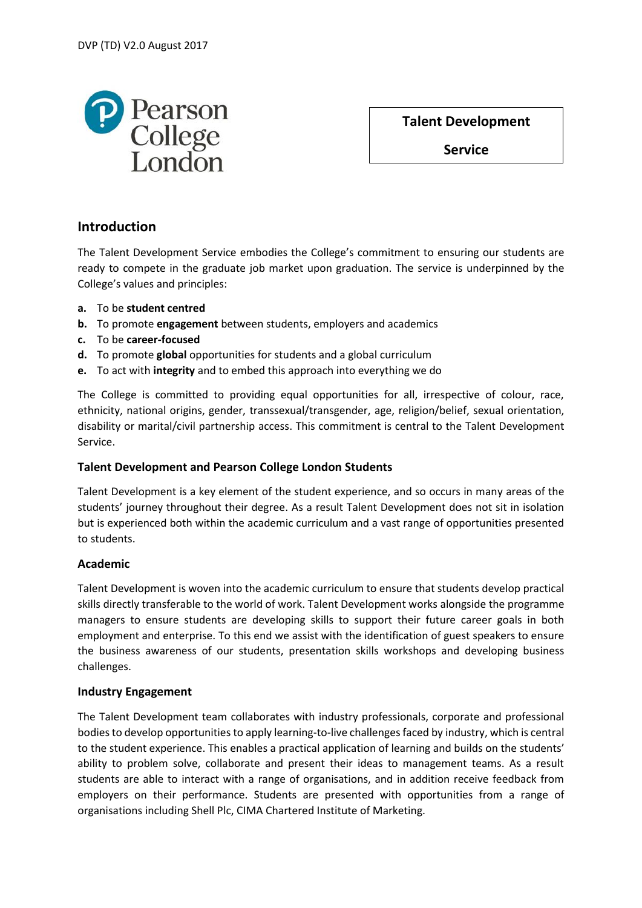

**Talent Development** 

**Service**

# **Introduction**

The Talent Development Service embodies the College's commitment to ensuring our students are ready to compete in the graduate job market upon graduation. The service is underpinned by the College's values and principles:

- **a.** To be **student centred**
- **b.** To promote **engagement** between students, employers and academics
- **c.** To be **career-focused**
- **d.** To promote **global** opportunities for students and a global curriculum
- **e.** To act with **integrity** and to embed this approach into everything we do

The College is committed to providing equal opportunities for all, irrespective of colour, race, ethnicity, national origins, gender, transsexual/transgender, age, religion/belief, sexual orientation, disability or marital/civil partnership access. This commitment is central to the Talent Development Service.

## **Talent Development and Pearson College London Students**

Talent Development is a key element of the student experience, and so occurs in many areas of the students' journey throughout their degree. As a result Talent Development does not sit in isolation but is experienced both within the academic curriculum and a vast range of opportunities presented to students.

#### **Academic**

Talent Development is woven into the academic curriculum to ensure that students develop practical skills directly transferable to the world of work. Talent Development works alongside the programme managers to ensure students are developing skills to support their future career goals in both employment and enterprise. To this end we assist with the identification of guest speakers to ensure the business awareness of our students, presentation skills workshops and developing business challenges.

#### **Industry Engagement**

The Talent Development team collaborates with industry professionals, corporate and professional bodies to develop opportunities to apply learning-to-live challenges faced by industry, which is central to the student experience. This enables a practical application of learning and builds on the students' ability to problem solve, collaborate and present their ideas to management teams. As a result students are able to interact with a range of organisations, and in addition receive feedback from employers on their performance. Students are presented with opportunities from a range of organisations including Shell Plc, CIMA Chartered Institute of Marketing.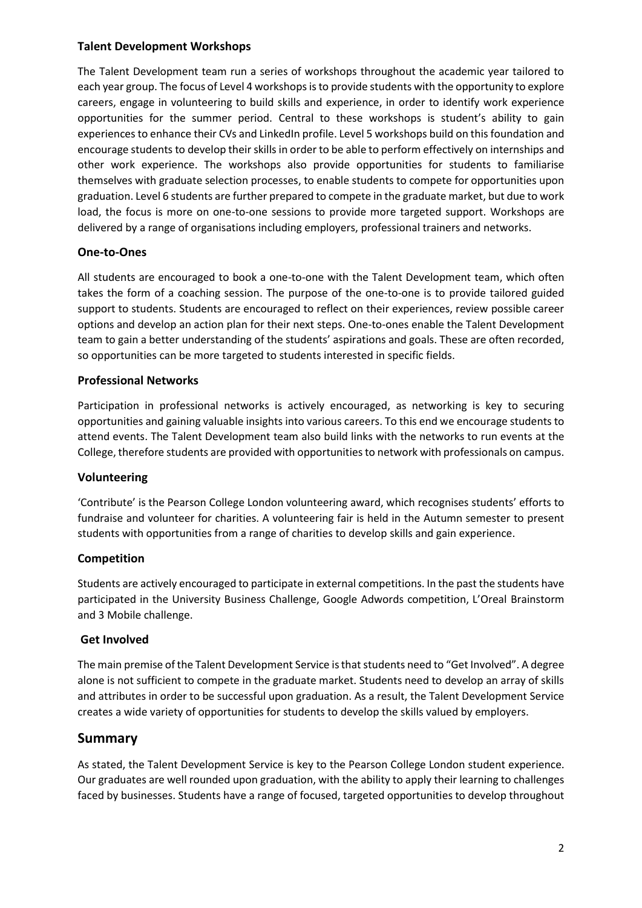#### **Talent Development Workshops**

The Talent Development team run a series of workshops throughout the academic year tailored to each year group. The focus of Level 4 workshops is to provide students with the opportunity to explore careers, engage in volunteering to build skills and experience, in order to identify work experience opportunities for the summer period. Central to these workshops is student's ability to gain experiences to enhance their CVs and LinkedIn profile. Level 5 workshops build on this foundation and encourage students to develop their skills in order to be able to perform effectively on internships and other work experience. The workshops also provide opportunities for students to familiarise themselves with graduate selection processes, to enable students to compete for opportunities upon graduation. Level 6 students are further prepared to compete in the graduate market, but due to work load, the focus is more on one-to-one sessions to provide more targeted support. Workshops are delivered by a range of organisations including employers, professional trainers and networks.

### **One-to-Ones**

All students are encouraged to book a one-to-one with the Talent Development team, which often takes the form of a coaching session. The purpose of the one-to-one is to provide tailored guided support to students. Students are encouraged to reflect on their experiences, review possible career options and develop an action plan for their next steps. One-to-ones enable the Talent Development team to gain a better understanding of the students' aspirations and goals. These are often recorded, so opportunities can be more targeted to students interested in specific fields.

#### **Professional Networks**

Participation in professional networks is actively encouraged, as networking is key to securing opportunities and gaining valuable insights into various careers. To this end we encourage students to attend events. The Talent Development team also build links with the networks to run events at the College, therefore students are provided with opportunities to network with professionals on campus.

#### **Volunteering**

'Contribute' is the Pearson College London volunteering award, which recognises students' efforts to fundraise and volunteer for charities. A volunteering fair is held in the Autumn semester to present students with opportunities from a range of charities to develop skills and gain experience.

#### **Competition**

Students are actively encouraged to participate in external competitions. In the past the students have participated in the University Business Challenge, Google Adwords competition, L'Oreal Brainstorm and 3 Mobile challenge.

#### **Get Involved**

The main premise of the Talent Development Service is that students need to "Get Involved". A degree alone is not sufficient to compete in the graduate market. Students need to develop an array of skills and attributes in order to be successful upon graduation. As a result, the Talent Development Service creates a wide variety of opportunities for students to develop the skills valued by employers.

#### **Summary**

As stated, the Talent Development Service is key to the Pearson College London student experience. Our graduates are well rounded upon graduation, with the ability to apply their learning to challenges faced by businesses. Students have a range of focused, targeted opportunities to develop throughout